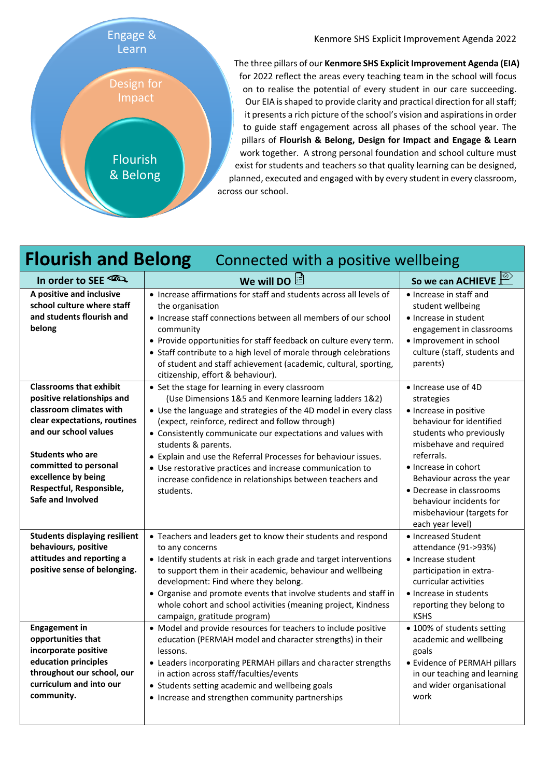

Kenmore SHS Explicit Improvement Agenda 2022

The three pillars of our **Kenmore SHS Explicit Improvement Agenda (EIA)** for 2022 reflect the areas every teaching team in the school will focus on to realise the potential of every student in our care succeeding. Our EIA is shaped to provide clarity and practical direction for all staff; it presents a rich picture of the school's vision and aspirations in order to guide staff engagement across all phases of the school year. The pillars of **Flourish & Belong, Design for Impact and Engage & Learn** work together. A strong personal foundation and school culture must exist for students and teachers so that quality learning can be designed, planned, executed and engaged with by every student in every classroom, across our school.

## **Flourish and Belong** Connected with a positive wellbeing

| In order to SEE                                                                                                                                                                                                                                                              | We will DO $\mathbb{\dot{E}}$                                                                                                                                                                                                                                                                                                                                                                                                                                                                                                   | $\overline{\circ}$<br>So we can ACHIEVE                                                                                                                                                                                                                                                                                  |
|------------------------------------------------------------------------------------------------------------------------------------------------------------------------------------------------------------------------------------------------------------------------------|---------------------------------------------------------------------------------------------------------------------------------------------------------------------------------------------------------------------------------------------------------------------------------------------------------------------------------------------------------------------------------------------------------------------------------------------------------------------------------------------------------------------------------|--------------------------------------------------------------------------------------------------------------------------------------------------------------------------------------------------------------------------------------------------------------------------------------------------------------------------|
| A positive and inclusive<br>school culture where staff<br>and students flourish and<br>belong                                                                                                                                                                                | • Increase affirmations for staff and students across all levels of<br>the organisation<br>• Increase staff connections between all members of our school<br>community<br>• Provide opportunities for staff feedback on culture every term.<br>• Staff contribute to a high level of morale through celebrations<br>of student and staff achievement (academic, cultural, sporting,<br>citizenship, effort & behaviour).                                                                                                        | • Increase in staff and<br>student wellbeing<br>· Increase in student<br>engagement in classrooms<br>· Improvement in school<br>culture (staff, students and<br>parents)                                                                                                                                                 |
| <b>Classrooms that exhibit</b><br>positive relationships and<br>classroom climates with<br>clear expectations, routines<br>and our school values<br><b>Students who are</b><br>committed to personal<br>excellence by being<br>Respectful, Responsible,<br>Safe and Involved | • Set the stage for learning in every classroom<br>(Use Dimensions 1&5 and Kenmore learning ladders 1&2)<br>• Use the language and strategies of the 4D model in every class<br>(expect, reinforce, redirect and follow through)<br>• Consistently communicate our expectations and values with<br>students & parents.<br>• Explain and use the Referral Processes for behaviour issues.<br>• Use restorative practices and increase communication to<br>increase confidence in relationships between teachers and<br>students. | • Increase use of 4D<br>strategies<br>· Increase in positive<br>behaviour for identified<br>students who previously<br>misbehave and required<br>referrals.<br>• Increase in cohort<br>Behaviour across the year<br>• Decrease in classrooms<br>behaviour incidents for<br>misbehaviour (targets for<br>each year level) |
| <b>Students displaying resilient</b><br>behaviours, positive<br>attitudes and reporting a<br>positive sense of belonging.                                                                                                                                                    | • Teachers and leaders get to know their students and respond<br>to any concerns<br>• Identify students at risk in each grade and target interventions<br>to support them in their academic, behaviour and wellbeing<br>development: Find where they belong.<br>• Organise and promote events that involve students and staff in<br>whole cohort and school activities (meaning project, Kindness<br>campaign, gratitude program)                                                                                               | • Increased Student<br>attendance (91->93%)<br>• Increase student<br>participation in extra-<br>curricular activities<br>• Increase in students<br>reporting they belong to<br><b>KSHS</b>                                                                                                                               |
| <b>Engagement in</b><br>opportunities that<br>incorporate positive<br>education principles<br>throughout our school, our<br>curriculum and into our<br>community.                                                                                                            | • Model and provide resources for teachers to include positive<br>education (PERMAH model and character strengths) in their<br>lessons.<br>• Leaders incorporating PERMAH pillars and character strengths<br>in action across staff/faculties/events<br>• Students setting academic and wellbeing goals<br>• Increase and strengthen community partnerships                                                                                                                                                                     | • 100% of students setting<br>academic and wellbeing<br>goals<br>• Evidence of PERMAH pillars<br>in our teaching and learning<br>and wider organisational<br>work                                                                                                                                                        |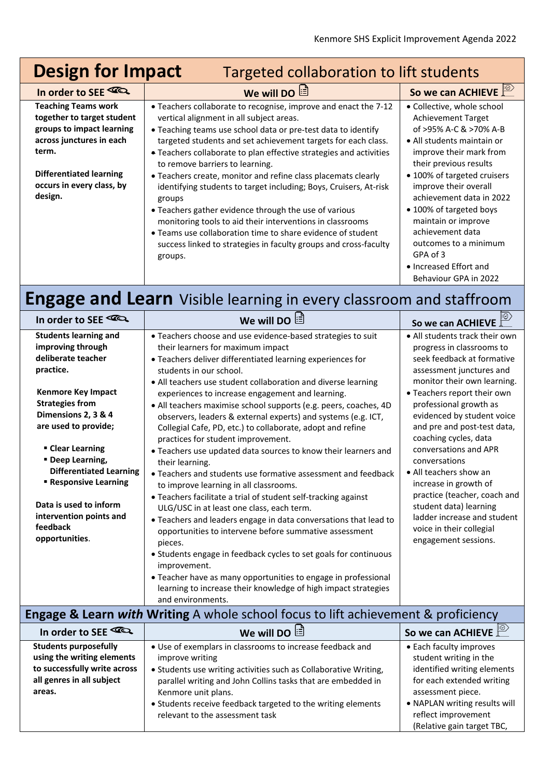• NAPLAN writing results will reflect improvement (Relative gain target TBC,

| <b>Design for Impact</b><br>Targeted collaboration to lift students                                                        |                                                                                                                                                                                                                                                                                                                                                                                                                  |                                                                                                                                                                                                                                                |  |  |
|----------------------------------------------------------------------------------------------------------------------------|------------------------------------------------------------------------------------------------------------------------------------------------------------------------------------------------------------------------------------------------------------------------------------------------------------------------------------------------------------------------------------------------------------------|------------------------------------------------------------------------------------------------------------------------------------------------------------------------------------------------------------------------------------------------|--|--|
| In order to SEE                                                                                                            | <b>We will DO <math>\mathbb{E}</math></b>                                                                                                                                                                                                                                                                                                                                                                        | So we can ACHIEVE                                                                                                                                                                                                                              |  |  |
| <b>Teaching Teams work</b><br>together to target student<br>groups to impact learning<br>across junctures in each<br>term. | • Teachers collaborate to recognise, improve and enact the 7-12<br>vertical alignment in all subject areas.<br>• Teaching teams use school data or pre-test data to identify<br>targeted students and set achievement targets for each class.<br>• Teachers collaborate to plan effective strategies and activities<br>to remove barriers to learning.                                                           | • Collective, whole school<br><b>Achievement Target</b><br>of >95% A-C & >70% A-B<br>• All students maintain or<br>improve their mark from<br>their previous results                                                                           |  |  |
| <b>Differentiated learning</b><br>occurs in every class, by<br>design.                                                     | • Teachers create, monitor and refine class placemats clearly<br>identifying students to target including; Boys, Cruisers, At-risk<br>groups<br>• Teachers gather evidence through the use of various<br>monitoring tools to aid their interventions in classrooms<br>• Teams use collaboration time to share evidence of student<br>success linked to strategies in faculty groups and cross-faculty<br>groups. | • 100% of targeted cruisers<br>improve their overall<br>achievement data in 2022<br>• 100% of targeted boys<br>maintain or improve<br>achievement data<br>outcomes to a minimum<br>GPA of 3<br>• Increased Effort and<br>Behaviour GPA in 2022 |  |  |

## **Engage and Learn** Visible learning in every classroom and staffroom

| In order to SEE                                                                                                                                                                                                                                                                                                                                                                       | <b>We will DO</b>                                                                                                                                                                                                                                                                                                                                                                                                                                                                                                                                                                                                                                                                                                                                                                                                                                                                                                                                                                                                                                                                                                                                                                                                                                            | $ \odot$<br>So we can ACHIEVE                                                                                                                                                                                                                                                                                                                                                                                                                                                                                                                 |  |  |
|---------------------------------------------------------------------------------------------------------------------------------------------------------------------------------------------------------------------------------------------------------------------------------------------------------------------------------------------------------------------------------------|--------------------------------------------------------------------------------------------------------------------------------------------------------------------------------------------------------------------------------------------------------------------------------------------------------------------------------------------------------------------------------------------------------------------------------------------------------------------------------------------------------------------------------------------------------------------------------------------------------------------------------------------------------------------------------------------------------------------------------------------------------------------------------------------------------------------------------------------------------------------------------------------------------------------------------------------------------------------------------------------------------------------------------------------------------------------------------------------------------------------------------------------------------------------------------------------------------------------------------------------------------------|-----------------------------------------------------------------------------------------------------------------------------------------------------------------------------------------------------------------------------------------------------------------------------------------------------------------------------------------------------------------------------------------------------------------------------------------------------------------------------------------------------------------------------------------------|--|--|
| <b>Students learning and</b><br>improving through<br>deliberate teacher<br>practice.<br><b>Kenmore Key Impact</b><br><b>Strategies from</b><br>Dimensions 2, 3 & 4<br>are used to provide;<br>• Clear Learning<br>" Deep Learning,<br><b>Differentiated Learning</b><br><b>Responsive Learning</b><br>Data is used to inform<br>intervention points and<br>feedback<br>opportunities. | • Teachers choose and use evidence-based strategies to suit<br>their learners for maximum impact<br>· Teachers deliver differentiated learning experiences for<br>students in our school.<br>• All teachers use student collaboration and diverse learning<br>experiences to increase engagement and learning.<br>• All teachers maximise school supports (e.g. peers, coaches, 4D<br>observers, leaders & external experts) and systems (e.g. ICT,<br>Collegial Cafe, PD, etc.) to collaborate, adopt and refine<br>practices for student improvement.<br>. Teachers use updated data sources to know their learners and<br>their learning.<br>• Teachers and students use formative assessment and feedback<br>to improve learning in all classrooms.<br>• Teachers facilitate a trial of student self-tracking against<br>ULG/USC in at least one class, each term.<br>• Teachers and leaders engage in data conversations that lead to<br>opportunities to intervene before summative assessment<br>pieces.<br>• Students engage in feedback cycles to set goals for continuous<br>improvement.<br>• Teacher have as many opportunities to engage in professional<br>learning to increase their knowledge of high impact strategies<br>and environments. | • All students track their own<br>progress in classrooms to<br>seek feedback at formative<br>assessment junctures and<br>monitor their own learning.<br>• Teachers report their own<br>professional growth as<br>evidenced by student voice<br>and pre and post-test data,<br>coaching cycles, data<br>conversations and APR<br>conversations<br>• All teachers show an<br>increase in growth of<br>practice (teacher, coach and<br>student data) learning<br>ladder increase and student<br>voice in their collegial<br>engagement sessions. |  |  |
| <b>Engage &amp; Learn with Writing A whole school focus to lift achievement &amp; proficiency</b>                                                                                                                                                                                                                                                                                     |                                                                                                                                                                                                                                                                                                                                                                                                                                                                                                                                                                                                                                                                                                                                                                                                                                                                                                                                                                                                                                                                                                                                                                                                                                                              |                                                                                                                                                                                                                                                                                                                                                                                                                                                                                                                                               |  |  |
| In order to SEE <a></a>                                                                                                                                                                                                                                                                                                                                                               | We will DO                                                                                                                                                                                                                                                                                                                                                                                                                                                                                                                                                                                                                                                                                                                                                                                                                                                                                                                                                                                                                                                                                                                                                                                                                                                   | So we can ACHIEVE                                                                                                                                                                                                                                                                                                                                                                                                                                                                                                                             |  |  |
| <b>Students purposefully</b><br>using the writing elements<br>to successfully write across<br>all genres in all subject<br>areas.                                                                                                                                                                                                                                                     | • Use of exemplars in classrooms to increase feedback and<br>improve writing<br>• Students use writing activities such as Collaborative Writing,<br>parallel writing and John Collins tasks that are embedded in<br>Kenmore unit plans.                                                                                                                                                                                                                                                                                                                                                                                                                                                                                                                                                                                                                                                                                                                                                                                                                                                                                                                                                                                                                      | • Each faculty improves<br>student writing in the<br>identified writing elements<br>for each extended writing<br>assessment piece.                                                                                                                                                                                                                                                                                                                                                                                                            |  |  |

• Students receive feedback targeted to the writing elements relevant to the assessment task